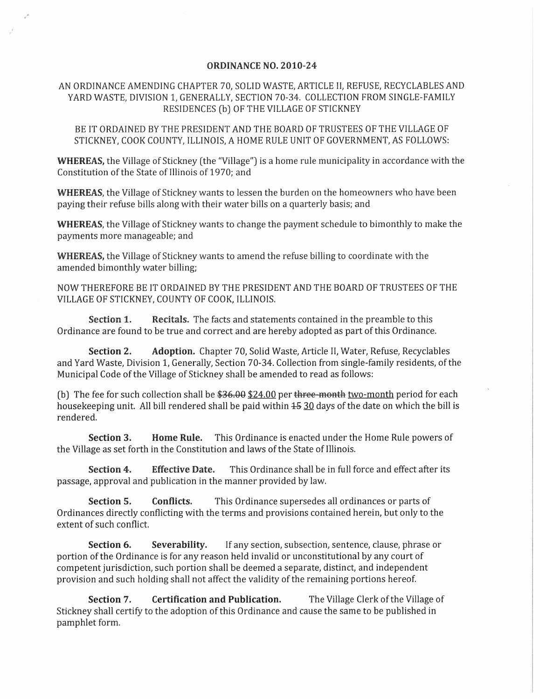## **ORDINANCE** NO. **2010-24**

## AN ORDINANCE AMENDING CHAPTER 70, SOLID WASTE, ARTICLE II, REFUSE, RECYCLABLES AND YARD WASTE, DIVISION 1, GENERALLY, SECTION 70-34. COLLECTION FROM SINGLE-FAMILY RESIDENCES (b) OF THE VILLAGE OF STICKNEY

BE IT ORDAINED BY THE PRESIDENT AND THE BOARD OF TRUSTEES OF THE VILLAGE OF STICKNEY, COOK COUNTY, ILLINOIS, A HOME RULE UNIT OF GOVERNMENT, AS FOLLOWS:

**WHEREAS,** the Village of Stickney (the "Village") is a home rule municipality in accordance with the Constitution of the State of Illinois of 1970; and

**WHEREAS,** the Village of Stickney wants to lessen the burden on the homeowners who have been paying their refuse bills along with their water bills on a quarterly basis; and

**WHEREAS,** the Village of Stickney wants to change the payment schedule to bimonthly to make the payments more manageable; and

**WHEREAS,** the Village of Stickney wants to amend the refuse billing to coordinate with the amended bimonthly water billing;

NOW THEREFORE BE IT ORDAINED BY THE PRESIDENT AND THE BOARD OF TRUSTEES OF THE VILLAGE OF STICKNEY, COUNTY OF COOK, ILLINOIS.

**Section 1. Recitals.** The facts and statements contained in the preamble to this Ordinance are found to be true and correct and are hereby adopted as part of this Ordinance.

**Section 2. Adoption.** Chapter 70, Solid Waste, Article II, Water, Refuse, Recyclables and Yard Waste, Division 1, Generally, Section 70-34. Collection from single-family residents, of the Municipal Code of the Village of Stickney shall be amended to read as follows:

(b) The fee for such collection shall be  $$36.00$   $$24.00$  per three-month two-month period for each housekeeping unit. All bill rendered shall be paid within  $1530$  days of the date on which the bill is rendered.

**Section 3. Home Rule.** This Ordinance is enacted under the Home Rule powers of the Village as set forth in the Constitution and laws of the State of Illinois.

Section 4. **Effective Date.** This Ordinance shall be in full force and effect after its passage, approval and publication in the manner provided by law.

**Section 5. Conflicts.** This Ordinance supersedes all ordinances or parts of Ordinances directly conflicting with the terms and provisions contained herein, but only to the extent of such conflict.

**Section 6. Severability.** If any section, subsection, sentence, clause, phrase or portion of the Ordinance is for any reason held invalid or unconstitutional by any court of competent jurisdiction, such portion shall be deemed a separate, distinct, and independent provision and such holding shall not affect the validity of the remaining portions hereof.

**Section 7. Certification and Publication.** The Village Clerk of the Village of Stickney shall certify to the adoption of this Ordinance and cause the same to be published in pamphlet form.